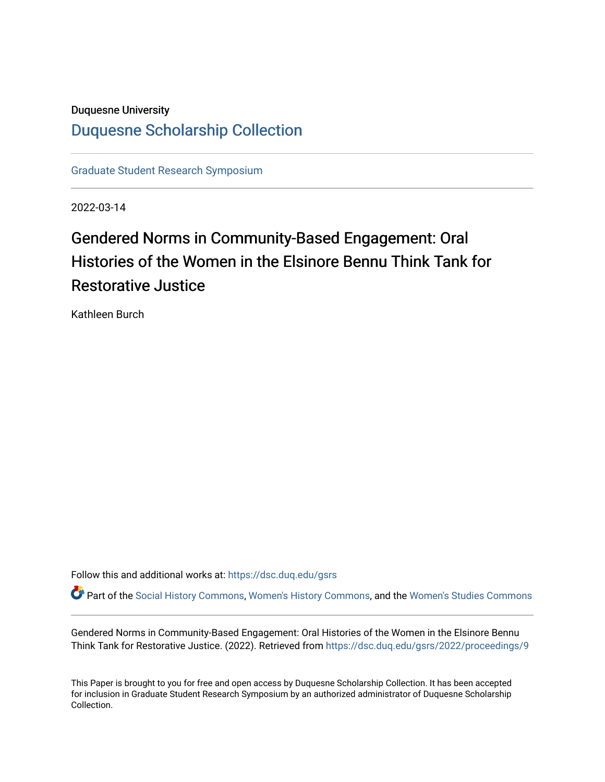## Duquesne University [Duquesne Scholarship Collection](https://dsc.duq.edu/)

[Graduate Student Research Symposium](https://dsc.duq.edu/gsrs)

2022-03-14

## Gendered Norms in Community-Based Engagement: Oral Histories of the Women in the Elsinore Bennu Think Tank for Restorative Justice

Kathleen Burch

Follow this and additional works at: [https://dsc.duq.edu/gsrs](https://dsc.duq.edu/gsrs?utm_source=dsc.duq.edu%2Fgsrs%2F2022%2Fproceedings%2F9&utm_medium=PDF&utm_campaign=PDFCoverPages)

Part of the [Social History Commons](https://network.bepress.com/hgg/discipline/506?utm_source=dsc.duq.edu%2Fgsrs%2F2022%2Fproceedings%2F9&utm_medium=PDF&utm_campaign=PDFCoverPages), [Women's History Commons,](https://network.bepress.com/hgg/discipline/507?utm_source=dsc.duq.edu%2Fgsrs%2F2022%2Fproceedings%2F9&utm_medium=PDF&utm_campaign=PDFCoverPages) and the [Women's Studies Commons](https://network.bepress.com/hgg/discipline/561?utm_source=dsc.duq.edu%2Fgsrs%2F2022%2Fproceedings%2F9&utm_medium=PDF&utm_campaign=PDFCoverPages) 

Gendered Norms in Community-Based Engagement: Oral Histories of the Women in the Elsinore Bennu Think Tank for Restorative Justice. (2022). Retrieved from [https://dsc.duq.edu/gsrs/2022/proceedings/9](https://dsc.duq.edu/gsrs/2022/proceedings/9?utm_source=dsc.duq.edu%2Fgsrs%2F2022%2Fproceedings%2F9&utm_medium=PDF&utm_campaign=PDFCoverPages) 

This Paper is brought to you for free and open access by Duquesne Scholarship Collection. It has been accepted for inclusion in Graduate Student Research Symposium by an authorized administrator of Duquesne Scholarship Collection.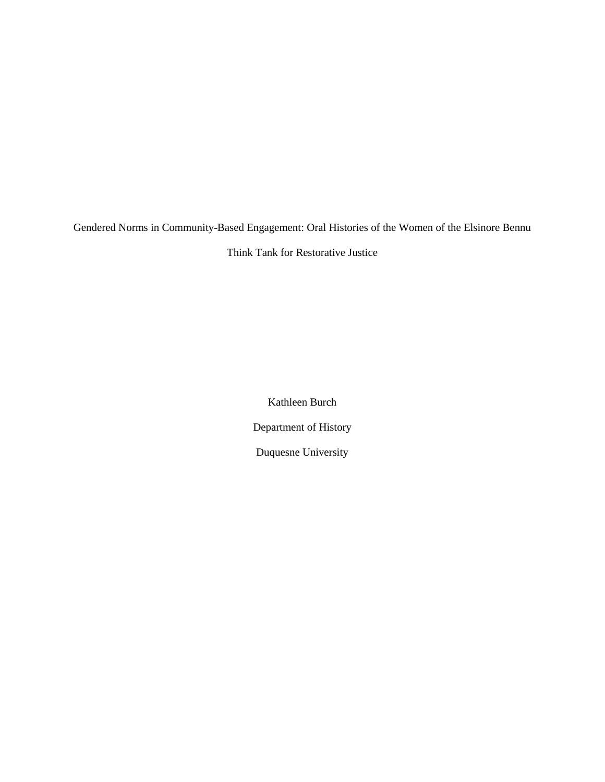Gendered Norms in Community-Based Engagement: Oral Histories of the Women of the Elsinore Bennu

Think Tank for Restorative Justice

Kathleen Burch Department of History Duquesne University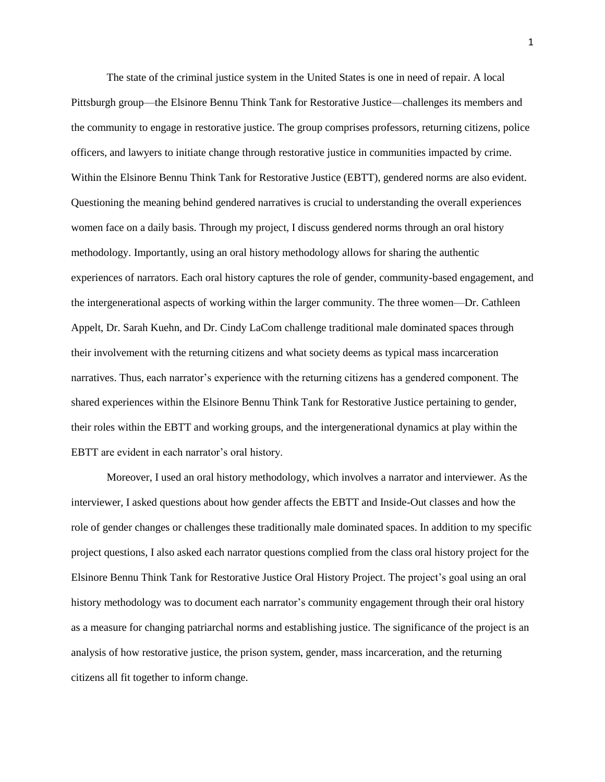The state of the criminal justice system in the United States is one in need of repair. A local Pittsburgh group—the Elsinore Bennu Think Tank for Restorative Justice—challenges its members and the community to engage in restorative justice. The group comprises professors, returning citizens, police officers, and lawyers to initiate change through restorative justice in communities impacted by crime. Within the Elsinore Bennu Think Tank for Restorative Justice (EBTT), gendered norms are also evident. Questioning the meaning behind gendered narratives is crucial to understanding the overall experiences women face on a daily basis. Through my project, I discuss gendered norms through an oral history methodology. Importantly, using an oral history methodology allows for sharing the authentic experiences of narrators. Each oral history captures the role of gender, community-based engagement, and the intergenerational aspects of working within the larger community. The three women—Dr. Cathleen Appelt, Dr. Sarah Kuehn, and Dr. Cindy LaCom challenge traditional male dominated spaces through their involvement with the returning citizens and what society deems as typical mass incarceration narratives. Thus, each narrator's experience with the returning citizens has a gendered component. The shared experiences within the Elsinore Bennu Think Tank for Restorative Justice pertaining to gender, their roles within the EBTT and working groups, and the intergenerational dynamics at play within the EBTT are evident in each narrator's oral history.

Moreover, I used an oral history methodology, which involves a narrator and interviewer. As the interviewer, I asked questions about how gender affects the EBTT and Inside-Out classes and how the role of gender changes or challenges these traditionally male dominated spaces. In addition to my specific project questions, I also asked each narrator questions complied from the class oral history project for the Elsinore Bennu Think Tank for Restorative Justice Oral History Project. The project's goal using an oral history methodology was to document each narrator's community engagement through their oral history as a measure for changing patriarchal norms and establishing justice. The significance of the project is an analysis of how restorative justice, the prison system, gender, mass incarceration, and the returning citizens all fit together to inform change.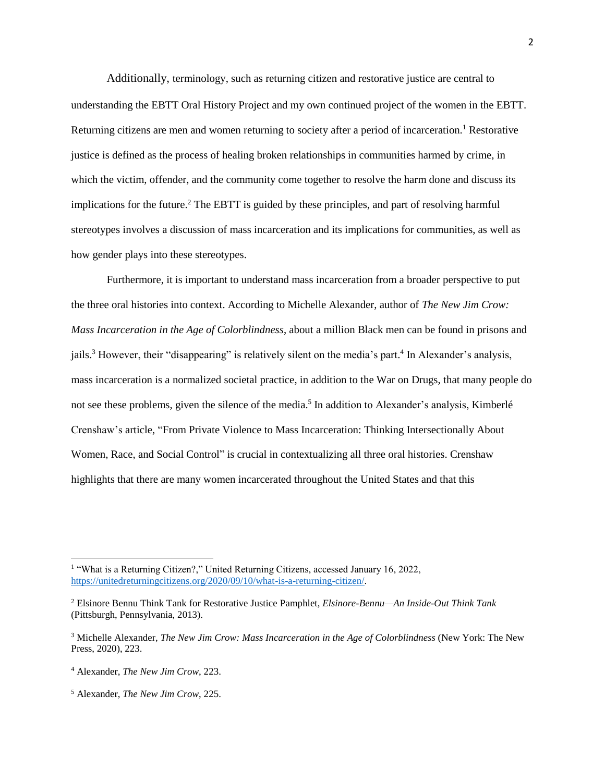Additionally, terminology, such as returning citizen and restorative justice are central to understanding the EBTT Oral History Project and my own continued project of the women in the EBTT. Returning citizens are men and women returning to society after a period of incarceration.<sup>1</sup> Restorative justice is defined as the process of healing broken relationships in communities harmed by crime, in which the victim, offender, and the community come together to resolve the harm done and discuss its implications for the future.<sup>2</sup> The EBTT is guided by these principles, and part of resolving harmful stereotypes involves a discussion of mass incarceration and its implications for communities, as well as how gender plays into these stereotypes.

Furthermore, it is important to understand mass incarceration from a broader perspective to put the three oral histories into context. According to Michelle Alexander, author of *The New Jim Crow: Mass Incarceration in the Age of Colorblindness*, about a million Black men can be found in prisons and jails.<sup>3</sup> However, their "disappearing" is relatively silent on the media's part.<sup>4</sup> In Alexander's analysis, mass incarceration is a normalized societal practice, in addition to the War on Drugs, that many people do not see these problems, given the silence of the media. 5 In addition to Alexander's analysis, Kimberlé Crenshaw's article, "From Private Violence to Mass Incarceration: Thinking Intersectionally About Women, Race, and Social Control" is crucial in contextualizing all three oral histories. Crenshaw highlights that there are many women incarcerated throughout the United States and that this

<sup>&</sup>lt;sup>1</sup> "What is a Returning Citizen?," United Returning Citizens, accessed January 16, 2022, [https://unitedreturningcitizens.org/2020/09/10/what-is-a-returning-citizen/.](https://unitedreturningcitizens.org/2020/09/10/what-is-a-returning-citizen/)

<sup>2</sup> Elsinore Bennu Think Tank for Restorative Justice Pamphlet, *Elsinore-Bennu—An Inside-Out Think Tank* (Pittsburgh, Pennsylvania, 2013).

<sup>3</sup> Michelle Alexander, *The New Jim Crow: Mass Incarceration in the Age of Colorblindness* (New York: The New Press, 2020), 223.

<sup>4</sup> Alexander, *The New Jim Crow*, 223.

<sup>5</sup> Alexander, *The New Jim Crow*, 225.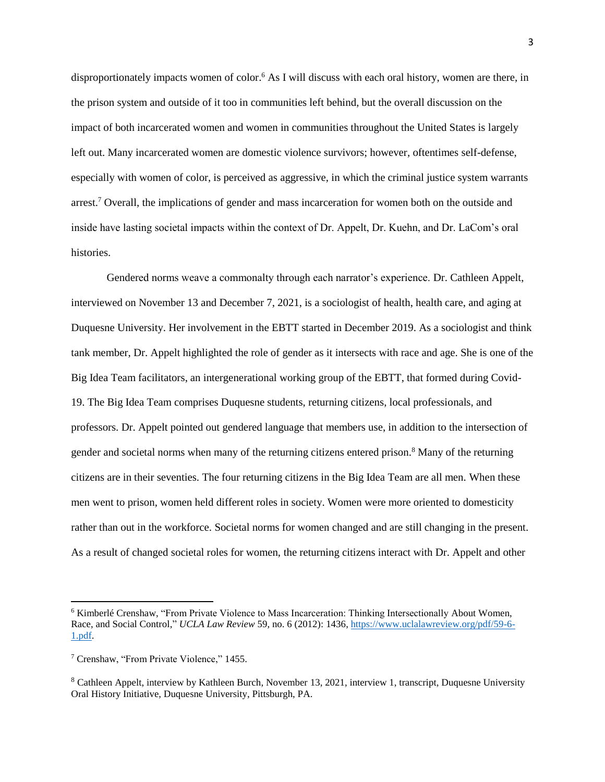disproportionately impacts women of color. <sup>6</sup> As I will discuss with each oral history, women are there, in the prison system and outside of it too in communities left behind, but the overall discussion on the impact of both incarcerated women and women in communities throughout the United States is largely left out. Many incarcerated women are domestic violence survivors; however, oftentimes self-defense, especially with women of color, is perceived as aggressive, in which the criminal justice system warrants arrest.<sup>7</sup> Overall, the implications of gender and mass incarceration for women both on the outside and inside have lasting societal impacts within the context of Dr. Appelt, Dr. Kuehn, and Dr. LaCom's oral histories.

Gendered norms weave a commonalty through each narrator's experience. Dr. Cathleen Appelt, interviewed on November 13 and December 7, 2021, is a sociologist of health, health care, and aging at Duquesne University. Her involvement in the EBTT started in December 2019. As a sociologist and think tank member, Dr. Appelt highlighted the role of gender as it intersects with race and age. She is one of the Big Idea Team facilitators, an intergenerational working group of the EBTT, that formed during Covid-19. The Big Idea Team comprises Duquesne students, returning citizens, local professionals, and professors. Dr. Appelt pointed out gendered language that members use, in addition to the intersection of gender and societal norms when many of the returning citizens entered prison.<sup>8</sup> Many of the returning citizens are in their seventies. The four returning citizens in the Big Idea Team are all men. When these men went to prison, women held different roles in society. Women were more oriented to domesticity rather than out in the workforce. Societal norms for women changed and are still changing in the present. As a result of changed societal roles for women, the returning citizens interact with Dr. Appelt and other

<sup>6</sup> Kimberlé Crenshaw, "From Private Violence to Mass Incarceration: Thinking Intersectionally About Women, Race, and Social Control," *UCLA Law Review* 59, no. 6 (2012): 1436, [https://www.uclalawreview.org/pdf/59-6-](https://www.uclalawreview.org/pdf/59-6-1.pdf) [1.pdf.](https://www.uclalawreview.org/pdf/59-6-1.pdf)

<sup>7</sup> Crenshaw, "From Private Violence," 1455.

<sup>8</sup> Cathleen Appelt, interview by Kathleen Burch, November 13, 2021, interview 1, transcript, Duquesne University Oral History Initiative, Duquesne University, Pittsburgh, PA.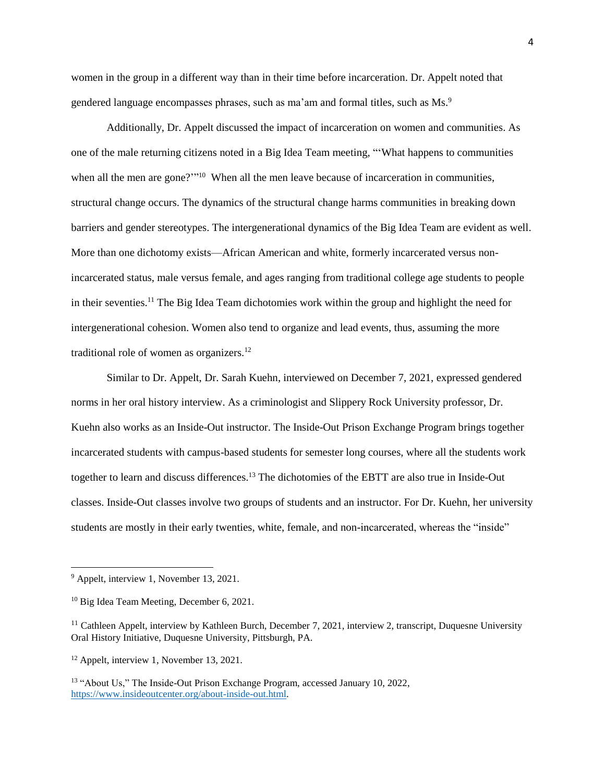women in the group in a different way than in their time before incarceration. Dr. Appelt noted that gendered language encompasses phrases, such as ma'am and formal titles, such as Ms.<sup>9</sup>

Additionally, Dr. Appelt discussed the impact of incarceration on women and communities. As one of the male returning citizens noted in a Big Idea Team meeting, "'What happens to communities when all the men are gone?"<sup>10</sup> When all the men leave because of incarceration in communities, structural change occurs. The dynamics of the structural change harms communities in breaking down barriers and gender stereotypes. The intergenerational dynamics of the Big Idea Team are evident as well. More than one dichotomy exists—African American and white, formerly incarcerated versus nonincarcerated status, male versus female, and ages ranging from traditional college age students to people in their seventies.<sup>11</sup> The Big Idea Team dichotomies work within the group and highlight the need for intergenerational cohesion. Women also tend to organize and lead events, thus, assuming the more traditional role of women as organizers.<sup>12</sup>

Similar to Dr. Appelt, Dr. Sarah Kuehn, interviewed on December 7, 2021, expressed gendered norms in her oral history interview. As a criminologist and Slippery Rock University professor, Dr. Kuehn also works as an Inside-Out instructor. The Inside-Out Prison Exchange Program brings together incarcerated students with campus-based students for semester long courses, where all the students work together to learn and discuss differences.<sup>13</sup> The dichotomies of the EBTT are also true in Inside-Out classes. Inside-Out classes involve two groups of students and an instructor. For Dr. Kuehn, her university students are mostly in their early twenties, white, female, and non-incarcerated, whereas the "inside"

<sup>9</sup> Appelt, interview 1, November 13, 2021.

<sup>10</sup> Big Idea Team Meeting, December 6, 2021.

<sup>&</sup>lt;sup>11</sup> Cathleen Appelt, interview by Kathleen Burch, December 7, 2021, interview 2, transcript, Duquesne University Oral History Initiative, Duquesne University, Pittsburgh, PA.

<sup>12</sup> Appelt, interview 1, November 13, 2021.

<sup>&</sup>lt;sup>13</sup> "About Us," The Inside-Out Prison Exchange Program, accessed January 10, 2022, [https://www.insideoutcenter.org/about-inside-out.html.](https://www.insideoutcenter.org/about-inside-out.html)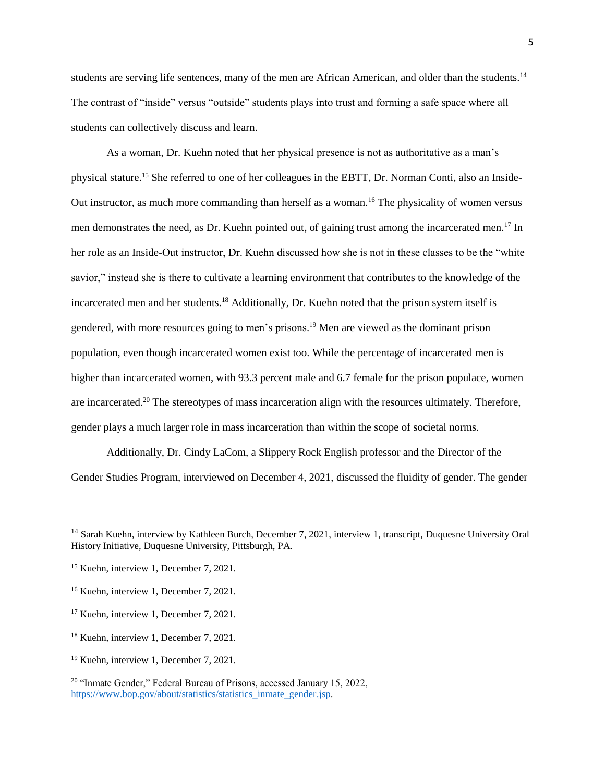students are serving life sentences, many of the men are African American, and older than the students.<sup>14</sup> The contrast of "inside" versus "outside" students plays into trust and forming a safe space where all students can collectively discuss and learn.

As a woman, Dr. Kuehn noted that her physical presence is not as authoritative as a man's physical stature.<sup>15</sup> She referred to one of her colleagues in the EBTT, Dr. Norman Conti, also an Inside-Out instructor, as much more commanding than herself as a woman.<sup>16</sup> The physicality of women versus men demonstrates the need, as Dr. Kuehn pointed out, of gaining trust among the incarcerated men.<sup>17</sup> In her role as an Inside-Out instructor, Dr. Kuehn discussed how she is not in these classes to be the "white savior," instead she is there to cultivate a learning environment that contributes to the knowledge of the incarcerated men and her students.<sup>18</sup> Additionally, Dr. Kuehn noted that the prison system itself is gendered, with more resources going to men's prisons. <sup>19</sup> Men are viewed as the dominant prison population, even though incarcerated women exist too. While the percentage of incarcerated men is higher than incarcerated women, with 93.3 percent male and 6.7 female for the prison populace, women are incarcerated.<sup>20</sup> The stereotypes of mass incarceration align with the resources ultimately. Therefore, gender plays a much larger role in mass incarceration than within the scope of societal norms.

Additionally, Dr. Cindy LaCom, a Slippery Rock English professor and the Director of the Gender Studies Program, interviewed on December 4, 2021, discussed the fluidity of gender. The gender

<sup>&</sup>lt;sup>14</sup> Sarah Kuehn, interview by Kathleen Burch, December 7, 2021, interview 1, transcript, Duquesne University Oral History Initiative, Duquesne University, Pittsburgh, PA.

<sup>&</sup>lt;sup>15</sup> Kuehn, interview 1, December 7, 2021.

<sup>16</sup> Kuehn, interview 1, December 7, 2021.

<sup>&</sup>lt;sup>17</sup> Kuehn, interview 1, December 7, 2021.

<sup>&</sup>lt;sup>18</sup> Kuehn, interview 1, December 7, 2021.

<sup>19</sup> Kuehn, interview 1, December 7, 2021.

<sup>&</sup>lt;sup>20</sup> "Inmate Gender," Federal Bureau of Prisons, accessed January 15, 2022, [https://www.bop.gov/about/statistics/statistics\\_inmate\\_gender.jsp.](https://www.bop.gov/about/statistics/statistics_inmate_gender.jsp)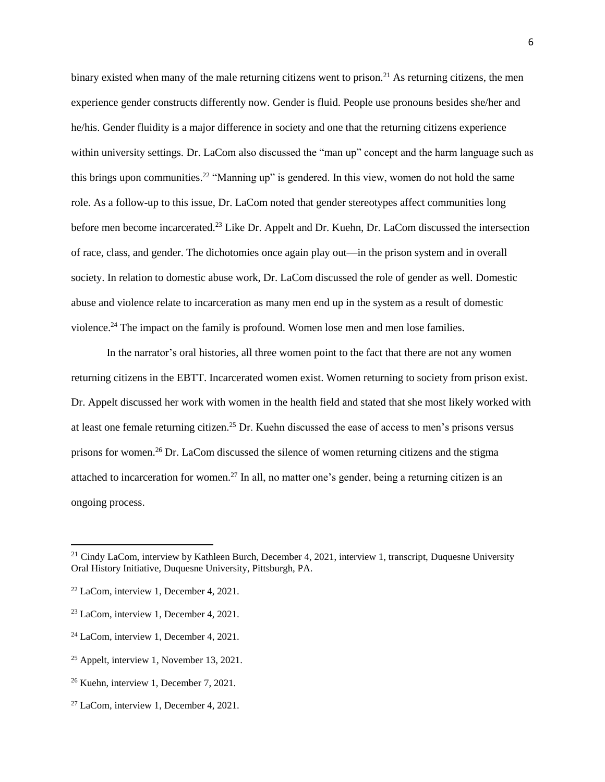binary existed when many of the male returning citizens went to prison.<sup>21</sup> As returning citizens, the men experience gender constructs differently now. Gender is fluid. People use pronouns besides she/her and he/his. Gender fluidity is a major difference in society and one that the returning citizens experience within university settings. Dr. LaCom also discussed the "man up" concept and the harm language such as this brings upon communities.<sup>22</sup> "Manning up" is gendered. In this view, women do not hold the same role. As a follow-up to this issue, Dr. LaCom noted that gender stereotypes affect communities long before men become incarcerated.<sup>23</sup> Like Dr. Appelt and Dr. Kuehn, Dr. LaCom discussed the intersection of race, class, and gender. The dichotomies once again play out—in the prison system and in overall society. In relation to domestic abuse work, Dr. LaCom discussed the role of gender as well. Domestic abuse and violence relate to incarceration as many men end up in the system as a result of domestic violence.<sup>24</sup> The impact on the family is profound. Women lose men and men lose families.

In the narrator's oral histories, all three women point to the fact that there are not any women returning citizens in the EBTT. Incarcerated women exist. Women returning to society from prison exist. Dr. Appelt discussed her work with women in the health field and stated that she most likely worked with at least one female returning citizen.<sup>25</sup> Dr. Kuehn discussed the ease of access to men's prisons versus prisons for women.<sup>26</sup> Dr. LaCom discussed the silence of women returning citizens and the stigma attached to incarceration for women.<sup>27</sup> In all, no matter one's gender, being a returning citizen is an ongoing process.

l

<sup>&</sup>lt;sup>21</sup> Cindy LaCom, interview by Kathleen Burch, December 4, 2021, interview 1, transcript, Duquesne University Oral History Initiative, Duquesne University, Pittsburgh, PA.

<sup>22</sup> LaCom, interview 1, December 4, 2021.

<sup>23</sup> LaCom, interview 1, December 4, 2021.

<sup>24</sup> LaCom, interview 1, December 4, 2021.

<sup>25</sup> Appelt, interview 1, November 13, 2021.

<sup>26</sup> Kuehn, interview 1, December 7, 2021.

<sup>27</sup> LaCom, interview 1, December 4, 2021.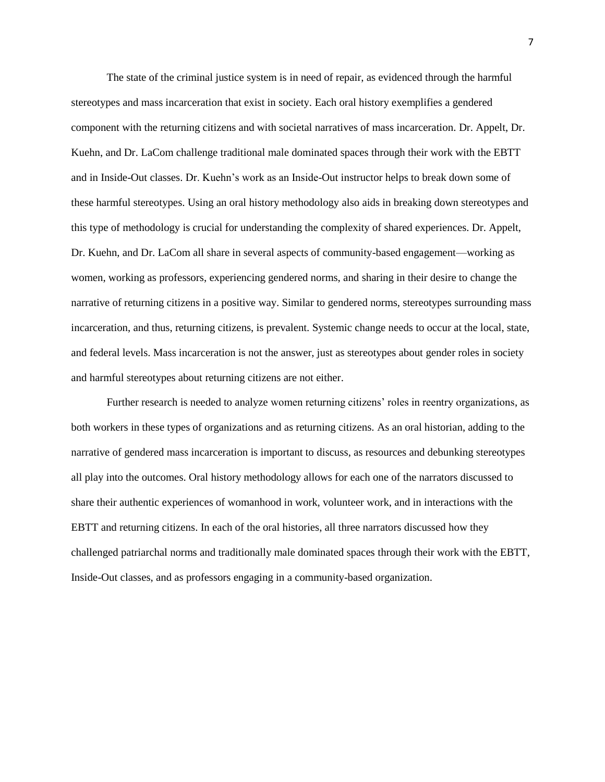The state of the criminal justice system is in need of repair, as evidenced through the harmful stereotypes and mass incarceration that exist in society. Each oral history exemplifies a gendered component with the returning citizens and with societal narratives of mass incarceration. Dr. Appelt, Dr. Kuehn, and Dr. LaCom challenge traditional male dominated spaces through their work with the EBTT and in Inside-Out classes. Dr. Kuehn's work as an Inside-Out instructor helps to break down some of these harmful stereotypes. Using an oral history methodology also aids in breaking down stereotypes and this type of methodology is crucial for understanding the complexity of shared experiences. Dr. Appelt, Dr. Kuehn, and Dr. LaCom all share in several aspects of community-based engagement—working as women, working as professors, experiencing gendered norms, and sharing in their desire to change the narrative of returning citizens in a positive way. Similar to gendered norms, stereotypes surrounding mass incarceration, and thus, returning citizens, is prevalent. Systemic change needs to occur at the local, state, and federal levels. Mass incarceration is not the answer, just as stereotypes about gender roles in society and harmful stereotypes about returning citizens are not either.

Further research is needed to analyze women returning citizens' roles in reentry organizations, as both workers in these types of organizations and as returning citizens. As an oral historian, adding to the narrative of gendered mass incarceration is important to discuss, as resources and debunking stereotypes all play into the outcomes. Oral history methodology allows for each one of the narrators discussed to share their authentic experiences of womanhood in work, volunteer work, and in interactions with the EBTT and returning citizens. In each of the oral histories, all three narrators discussed how they challenged patriarchal norms and traditionally male dominated spaces through their work with the EBTT, Inside-Out classes, and as professors engaging in a community-based organization.